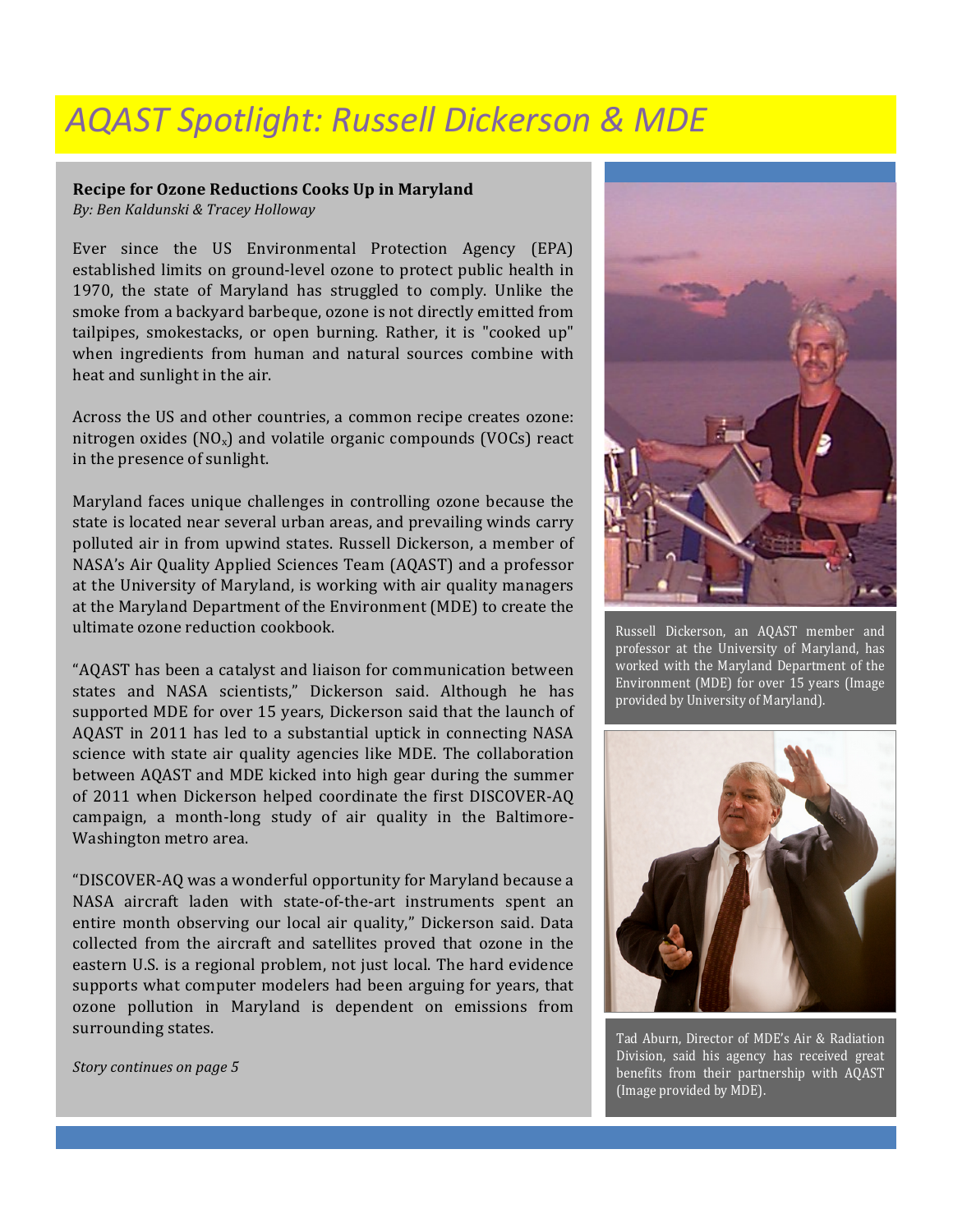## *AQAST Spotlight: Russell Dickerson & MDE*

## **Recipe for Ozone Reductions Cooks Up in Maryland**

*By: Ben Kaldunski & Tracey Holloway*

Ever since the US Environmental Protection Agency (EPA) established limits on ground-level ozone to protect public health in 1970, the state of Maryland has struggled to comply. Unlike the smoke from a backyard barbeque, ozone is not directly emitted from tailpipes, smokestacks, or open burning. Rather, it is "cooked up" when ingredients from human and natural sources combine with heat and sunlight in the air.

Across the US and other countries, a common recipe creates ozone: nitrogen oxides  $(NO_x)$  and volatile organic compounds  $(VOCs)$  react in the presence of sunlight.

Maryland faces unique challenges in controlling ozone because the state is located near several urban areas, and prevailing winds carry polluted air in from upwind states. Russell Dickerson, a member of NASA's Air Quality Applied Sciences Team (AQAST) and a professor at the University of Maryland, is working with air quality managers at the Maryland Department of the Environment (MDE) to create the ultimate ozone reduction cookbook.

"AQAST has been a catalyst and liaison for communication between states and NASA scientists," Dickerson said. Although he has supported MDE for over 15 years, Dickerson said that the launch of AQAST in 2011 has led to a substantial uptick in connecting NASA science with state air quality agencies like MDE. The collaboration between AQAST and MDE kicked into high gear during the summer of 2011 when Dickerson helped coordinate the first DISCOVER-AQ campaign, a month-long study of air quality in the Baltimore-Washington metro area.

"DISCOVER-AQ was a wonderful opportunity for Maryland because a NASA aircraft laden with state-of-the-art instruments spent an entire month observing our local air quality," Dickerson said. Data collected from the aircraft and satellites proved that ozone in the eastern U.S. is a regional problem, not just local. The hard evidence supports what computer modelers had been arguing for years, that ozone pollution in Maryland is dependent on emissions from surrounding states.

Story continues on page 5



Russell Dickerson, an AQAST member and professor at the University of Maryland, has worked with the Maryland Department of the Environment (MDE) for over 15 years (Image provided by University of Maryland).



Tad Aburn, Director of MDE's Air & Radiation Division, said his agency has received great benefits from their partnership with AQAST (Image provided by MDE).